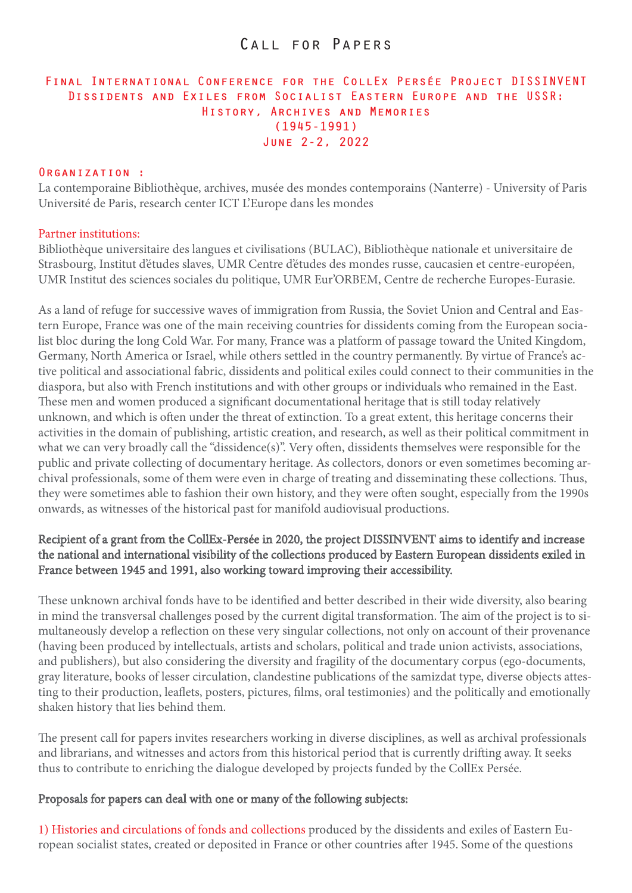# Call for Papers

## **Final International Conference for the CollEx Persée Project DISSINVENT Dissidents and Exiles from Socialist Eastern Europe and the USSR: History, Archives and Memories (1945-1991) June 2-2, 2022**

#### **Organization :**

La contemporaine Bibliothèque, archives, musée des mondes contemporains (Nanterre) - University of Paris Université de Paris, research center ICT L'Europe dans les mondes

#### Partner institutions:

Bibliothèque universitaire des langues et civilisations (BULAC), Bibliothèque nationale et universitaire de Strasbourg, Institut d'études slaves, UMR Centre d'études des mondes russe, caucasien et centre-européen, UMR Institut des sciences sociales du politique, UMR Eur'ORBEM, Centre de recherche Europes-Eurasie.

As a land of refuge for successive waves of immigration from Russia, the Soviet Union and Central and Eastern Europe, France was one of the main receiving countries for dissidents coming from the European socialist bloc during the long Cold War. For many, France was a platform of passage toward the United Kingdom, Germany, North America or Israel, while others settled in the country permanently. By virtue of France's active political and associational fabric, dissidents and political exiles could connect to their communities in the diaspora, but also with French institutions and with other groups or individuals who remained in the East. These men and women produced a significant documentational heritage that is still today relatively unknown, and which is often under the threat of extinction. To a great extent, this heritage concerns their activities in the domain of publishing, artistic creation, and research, as well as their political commitment in what we can very broadly call the "dissidence(s)". Very often, dissidents themselves were responsible for the public and private collecting of documentary heritage. As collectors, donors or even sometimes becoming archival professionals, some of them were even in charge of treating and disseminating these collections. Thus, they were sometimes able to fashion their own history, and they were often sought, especially from the 1990s onwards, as witnesses of the historical past for manifold audiovisual productions.

### Recipient of a grant from the CollEx-Persée in 2020, the project DISSINVENT aims to identify and increase the national and international visibility of the collections produced by Eastern European dissidents exiled in France between 1945 and 1991, also working toward improving their accessibility.

These unknown archival fonds have to be identified and better described in their wide diversity, also bearing in mind the transversal challenges posed by the current digital transformation. The aim of the project is to simultaneously develop a reflection on these very singular collections, not only on account of their provenance (having been produced by intellectuals, artists and scholars, political and trade union activists, associations, and publishers), but also considering the diversity and fragility of the documentary corpus (ego-documents, gray literature, books of lesser circulation, clandestine publications of the samizdat type, diverse objects attesting to their production, leaflets, posters, pictures, films, oral testimonies) and the politically and emotionally shaken history that lies behind them.

The present call for papers invites researchers working in diverse disciplines, as well as archival professionals and librarians, and witnesses and actors from this historical period that is currently drifting away. It seeks thus to contribute to enriching the dialogue developed by projects funded by the CollEx Persée.

#### Proposals for papers can deal with one or many of the following subjects:

1) Histories and circulations of fonds and collections produced by the dissidents and exiles of Eastern European socialist states, created or deposited in France or other countries after 1945. Some of the questions